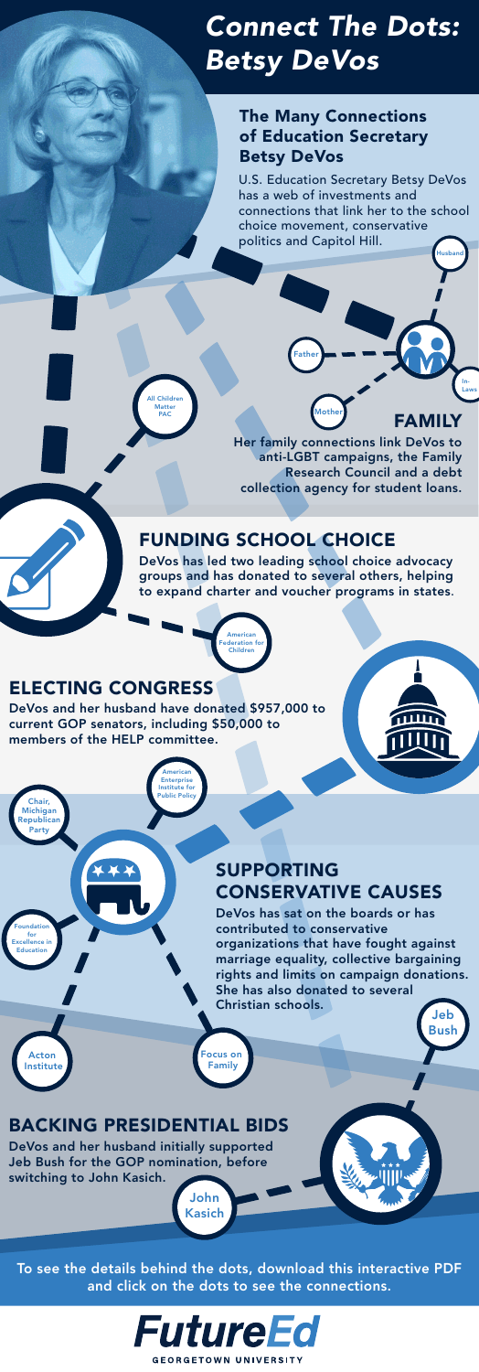

Her family connections link DeVos to anti-LGBT campaigns, the Family Research Council and a debt collection agency for student loans.

### FUNDING SCHOOL CHOICE

DeVos has led two leading school choice advocacy groups and has donated to several others, helping to expand charter and voucher programs in states.

### SUPPORTING CONSERVATIVE CAUSES

undation for [Excellence in](#page-4-0)  Education

### BACKING PRESIDENTIAL BIDS

DeVos and her husband initially supported Jeb Bush for the GOP nomination, before switching to John Kasich.

### The Many Connections of Education Secretary Betsy DeVos

### ELECTING CONGRESS

DeVos has sat on the boards or has contributed to conservative organizations that have fought against marriage equality, collective bargaining rights and limits on campaign donations. She has also donated to several Christian schools. Jeb

DeVos and her husband have donated \$957,000 to

current GOP senators, including \$50,000 to members of the HELP committee.

To see the details behind the dots, download this interactive PDF and click on the dots to see the connections.



[Husband](#page-1-0)

In-[Laws](#page-1-0)

[All Children](#page-2-0)  Matter PAC

> American ederation for Children

American Enterprise Institute for [Public Policy](#page-4-0)

> [Focus on](#page-4-0)  Family

[Bush](#page-5-0)

John [Kasich](#page-5-0)

Acton  [Institute](#page-4-0)

Chair, Michigan [Republican](#page-4-0)  Party

[Mother](#page-1-0)

athe

### <span id="page-0-0"></span>*Connect The Dots: Betsy DeVos*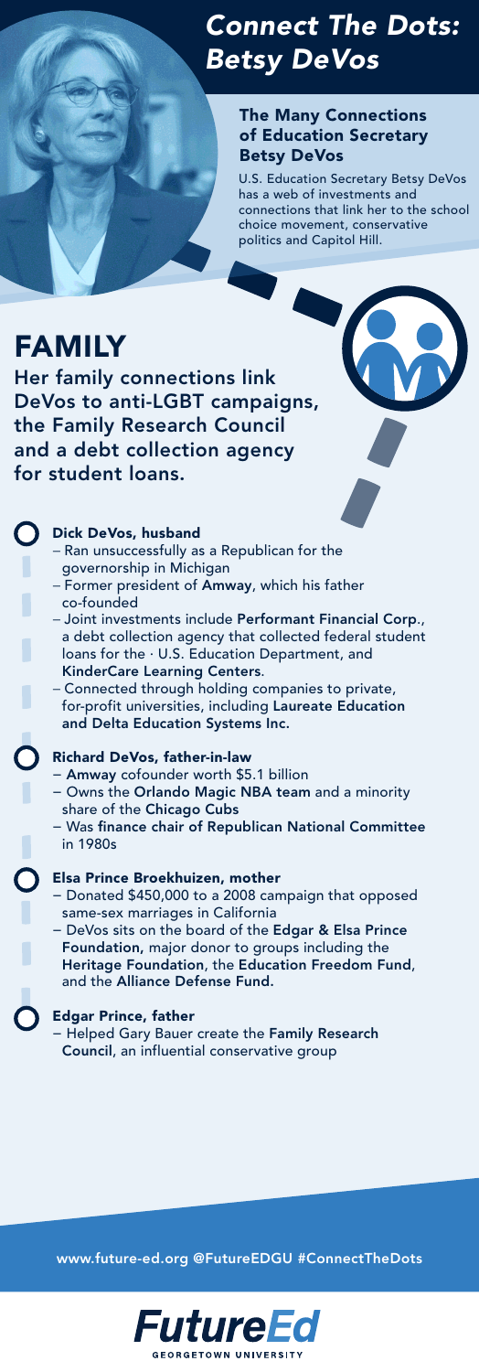#### Dick DeVos, husband

- − Ran unsuccessfully as a Republican for the governorship in Michigan
- − Former president of Amway, which his father co-founded
- − Joint investments include Performant Financial Corp., a debt collection agency that collected federal student loans for the · U.S. Education Department, and KinderCare Learning Centers.
- − Connected through holding companies to private, for-profit universities, including Laureate Education

and Delta Education Systems Inc.

#### Richard DeVos, father-in-law

- − Amway cofounder worth \$5.1 billion
- − Owns the Orlando Magic NBA team and a minority share of the Chicago Cubs
- − Was finance chair of Republican National Committee in 1980s

#### Elsa Prince Broekhuizen, mother

- − Donated \$450,000 to a 2008 campaign that opposed same-sex marriages in California
- − DeVos sits on the board of the Edgar & Elsa Prince Foundation, major donor to groups including the Heritage Foundation, the Education Freedom Fund, and the Alliance Defense Fund.

#### Edgar Prince, father

− Helped Gary Bauer create the Family Research Council, an influential conservative group

U.S. Education Secretary Betsy DeVos has a web of investments and connections that link her to the school choice movement, conservative politics and Capitol Hill.

# FAMILY

Her family connections link DeVos to anti-LGBT campaigns, the Family Research Council and a debt collection agency for student loans.

### The Many Connections of Education Secretary Betsy DeVos

www.future-ed.org @FutureEDGU #ConnectTheDots



## <span id="page-1-0"></span>*[C](#page-0-0)onnect The Dots: Betsy DeVos*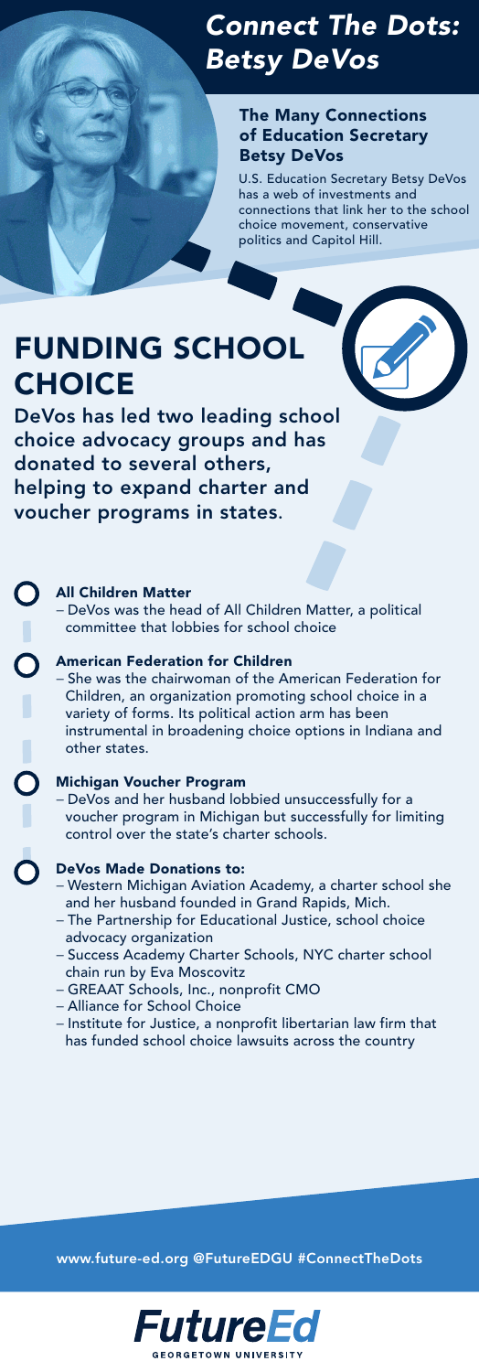### The Many Connections of Education Secretary Betsy DeVos

## <span id="page-2-0"></span>*[C](#page-0-0)onnect The Dots: Betsy DeVos*

#### All Children Matter

 $\bigcap$ 

− DeVos was the head of All Children Matter, a political committee that lobbies for school choice

#### American Federation for Children

− She was the chairwoman of the American Federation for Children, an organization promoting school choice in a variety of forms. Its political action arm has been instrumental in broadening choice options in Indiana and other states.

# FUNDING SCHOOL **CHOICE**

#### Michigan Voucher Program

− DeVos and her husband lobbied unsuccessfully for a voucher program in Michigan but successfully for limiting control over the state's charter schools.

#### DeVos Made Donations to:

- − Western Michigan Aviation Academy, a charter school she and her husband founded in Grand Rapids, Mich.
- − The Partnership for Educational Justice, school choice advocacy organization
- − Success Academy Charter Schools, NYC charter school chain run by Eva Moscovitz
- − GREAAT Schools, Inc., nonprofit CMO
- − Alliance for School Choice
- − Institute for Justice, a nonprofit libertarian law firm that has funded school choice lawsuits across the country

DeVos has led two leading school choice advocacy groups and has donated to several others, helping to expand charter and voucher programs in states.

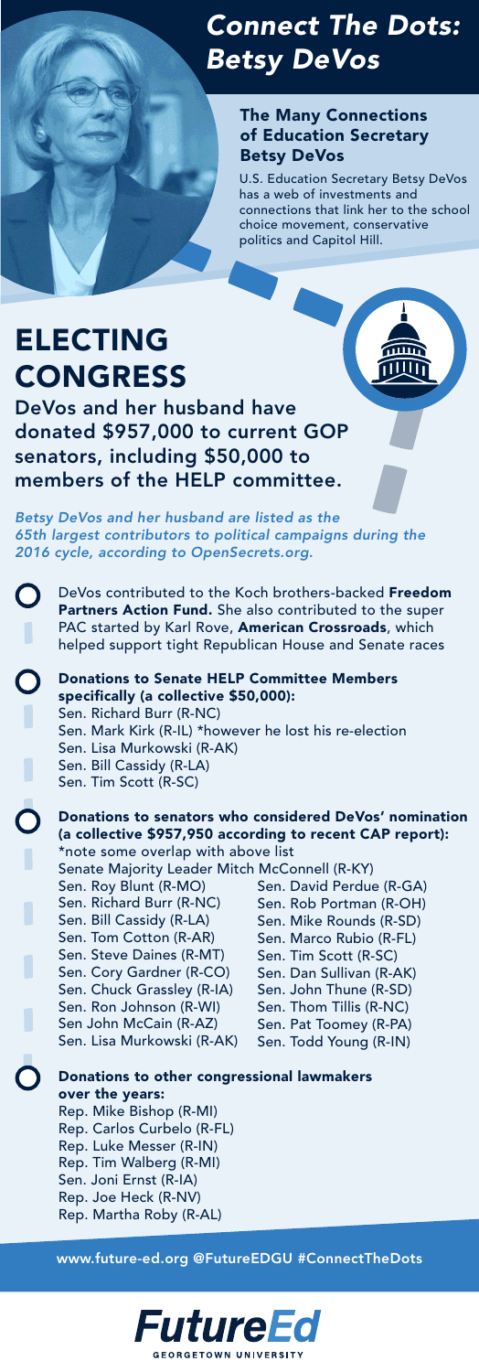### The Many Connections of Education Secretary Betsy DeVos

## *[C](#page-0-0)onnect The Dots: Betsy DeVos*

- DeVos contributed to the Koch brothers-backed Freedom  $\bigcup$ Partners Action Fund. She also contributed to the super PAC started by Karl Rove, American Crossroads, which helped support tight Republican House and Senate races
	- Donations to Senate HELP Committee Members specifically (a collective \$50,000): Sen. Richard Burr (R-NC)

Sen. Mark Kirk (R-IL) \*however he lost his re-election Sen. Lisa Murkowski (R-AK) Sen. Bill Cassidy (R-LA) Sen. Tim Scott (R-SC)

#### Donations to senators who considered DeVos' nomination (a collective \$957,950 according to recent CAP report):

# ELECTING CONGRESS

DeVos and her husband have donated \$957,000 to current GOP senators, including \$50,000 to members of the HELP committee.

> \*note some overlap with above list Senate Majority Leader Mitch McConnell (R-KY) Sen. Roy Blunt (R-MO) Sen. Richard Burr (R-NC) Sen. Bill Cassidy (R-LA) Sen. Tom Cotton (R-AR) Sen. Steve Daines (R-MT) Sen. Cory Gardner (R-CO) Sen. Chuck Grassley (R-IA) Sen. Ron Johnson (R-WI) Sen John McCain (R-AZ) Sen. Lisa Murkowski (R-AK) Sen. David Perdue (R-GA) Sen. Rob Portman (R-OH) Sen. Mike Rounds (R-SD) Sen. Marco Rubio (R-FL) Sen. Tim Scott (R-SC) Sen. Dan Sullivan (R-AK) Sen. John Thune (R-SD) Sen. Thom Tillis (R-NC) Sen. Pat Toomey (R-PA) Sen. Todd Young (R-IN)

*Betsy DeVos and her husband are listed as the 65th largest contributors to political campaigns during the 2016 cycle, according to OpenSecrets.org.* 

> Donations to other congressional lawmakers over the years:

Rep. Mike Bishop (R-MI) Rep. Carlos Curbelo (R-FL) Rep. Luke Messer (R-IN) Rep. Tim Walberg (R-MI) Sen. Joni Ernst (R-IA) Rep. Joe Heck (R-NV) Rep. Martha Roby (R-AL)

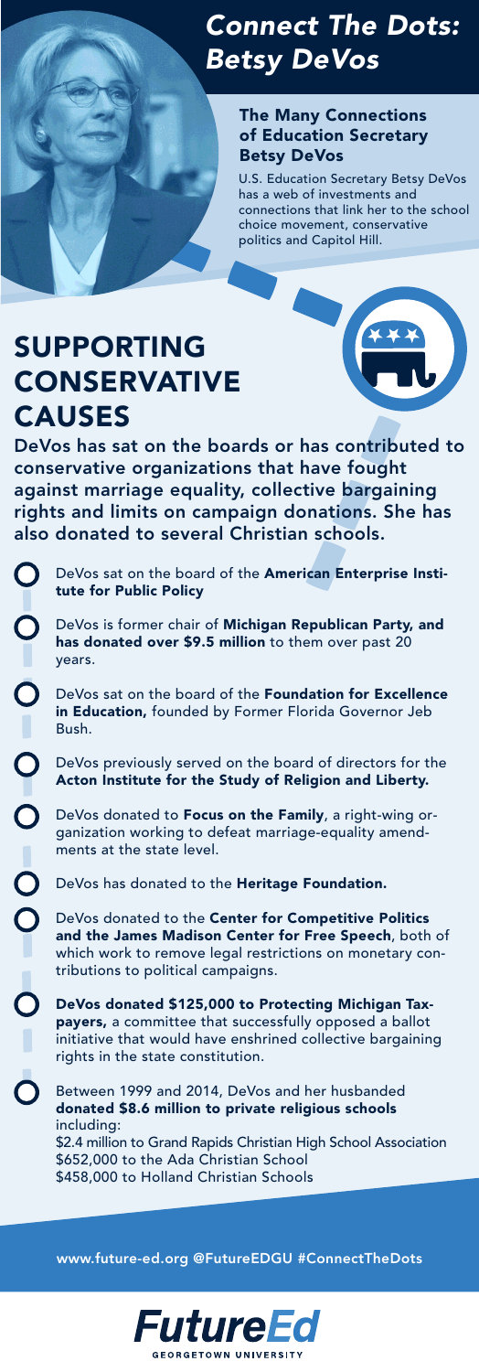DeVos is former chair of Michigan Republican Party, and has donated over \$9.5 million to them over past 20

### The Many Connections of Education Secretary Betsy DeVos

DeVos sat on the board of the Foundation for Excellence in Education, founded by Former Florida Governor Jeb

## <span id="page-4-0"></span>*[C](#page-0-0)onnect The Dots: Betsy DeVos*

DeVos sat on the board of the American Enterprise Institute for Public Policy

DeVos donated to the Center for Competitive Politics and the James Madison Center for Free Speech, both of which work to remove legal restrictions on monetary contributions to political campaigns.

Bush.

#### DeVos previously served on the board of directors for the Acton Institute for the Study of Religion and Liberty.

DeVos donated to Focus on the Family, a right-wing organization working to defeat marriage-equality amendments at the state level.

DeVos has donated to the Heritage Foundation.

DeVos donated \$125,000 to Protecting Michigan Taxpayers, a committee that successfully opposed a ballot initiative that would have enshrined collective bargaining rights in the state constitution.

Between 1999 and 2014, DeVos and her husbanded donated \$8.6 million to private religious schools including: \$2.4 million to Grand Rapids Christian High School Association \$652,000 to the Ada Christian School \$458,000 to Holland Christian Schools

# SUPPORTING CONSERVATIVE CAUSES

DeVos has sat on the boards or has contributed to conservative organizations that have fought against marriage equality, collective bargaining rights and limits on campaign donations. She has also donated to several Christian schools.

 $\bigcirc$  $\overline{\mathbf{O}}$ years.  $\bigcirc$ 

 $\overline{O}$ 

 $\overline{0}$ 

O<br>O<br>O